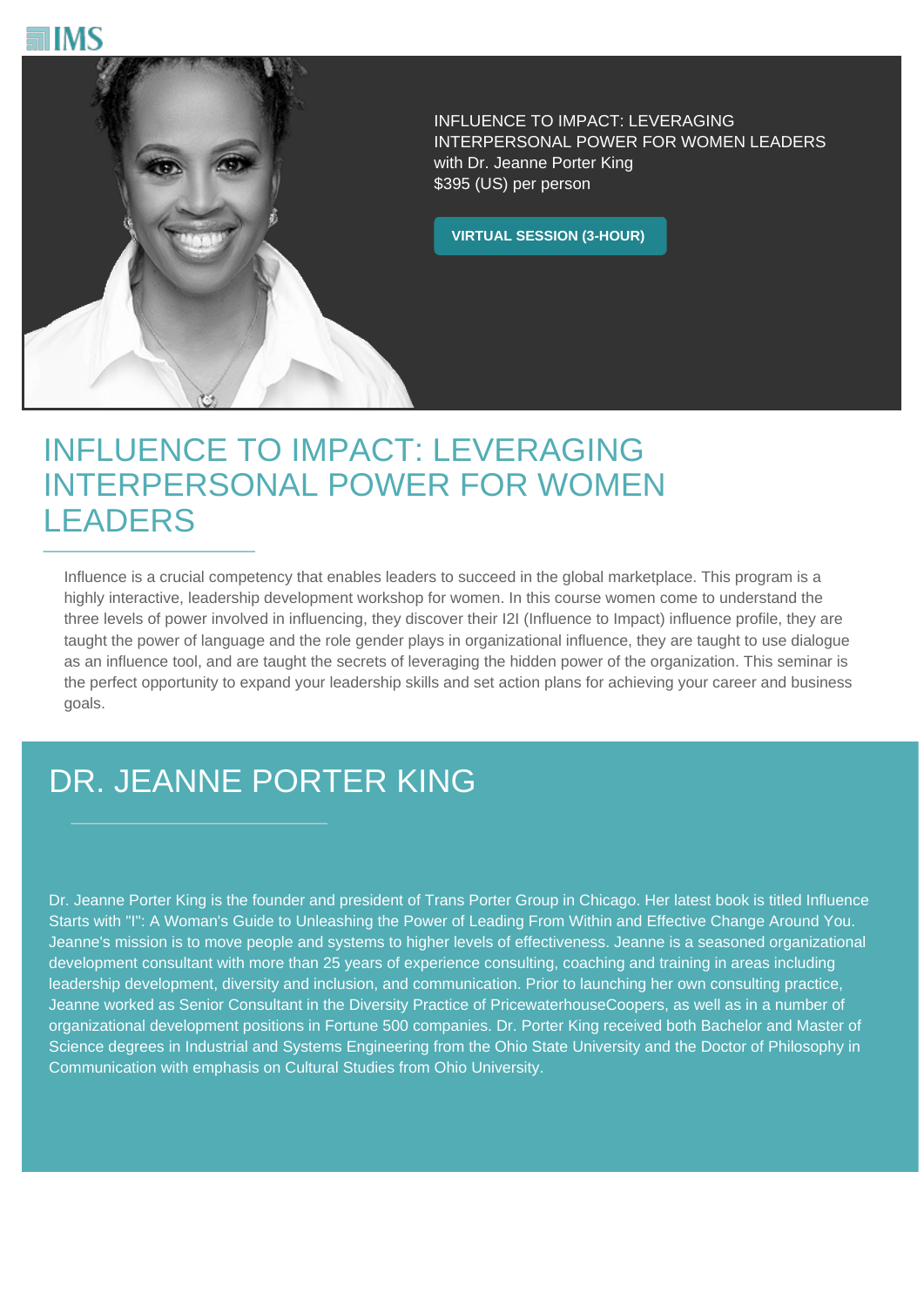



INFLUENCE TO IMPACT: LEVERAGING INTERPERSONAL POWER FOR WOMEN LEADERS with Dr. Jeanne Porter King \$395 (US) per person

**VIRTUAL SESSION (3-HOUR)**

## INFLUENCE TO IMPACT: LEVERAGING INTERPERSONAL POWER FOR WOMEN LEADERS

Influence is a crucial competency that enables leaders to succeed in the global marketplace. This program is a highly interactive, leadership development workshop for women. In this course women come to understand the three levels of power involved in influencing, they discover their I2I (Influence to Impact) influence profile, they are taught the power of language and the role gender plays in organizational influence, they are taught to use dialogue as an influence tool, and are taught the secrets of leveraging the hidden power of the organization. This seminar is the perfect opportunity to expand your leadership skills and set action plans for achieving your career and business goals.

## DR. JEANNE PORTER KING

Dr. Jeanne Porter King is the founder and president of Trans Porter Group in Chicago. Her latest book is titled Influence Starts with "I": A Woman's Guide to Unleashing the Power of Leading From Within and Effective Change Around You. Jeanne's mission is to move people and systems to higher levels of effectiveness. Jeanne is a seasoned organizational development consultant with more than 25 years of experience consulting, coaching and training in areas including leadership development, diversity and inclusion, and communication. Prior to launching her own consulting practice, Jeanne worked as Senior Consultant in the Diversity Practice of PricewaterhouseCoopers, as well as in a number of organizational development positions in Fortune 500 companies. Dr. Porter King received both Bachelor and Master of Science degrees in Industrial and Systems Engineering from the Ohio State University and the Doctor of Philosophy in Communication with emphasis on Cultural Studies from Ohio University.